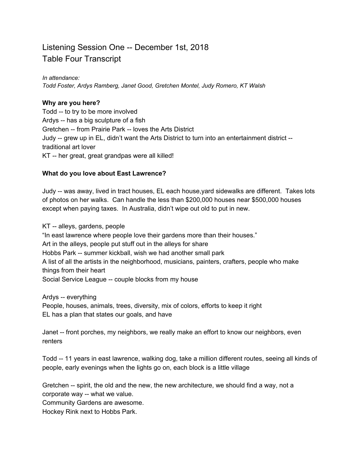# Listening Session One -- December 1st, 2018 Table Four Transcript

#### *In attendance:*

*Todd Foster, Ardys Ramberg, Janet Good, Gretchen Montel, Judy Romero, KT Walsh*

### **Why are you here?**

Todd -- to try to be more involved Ardys -- has a big sculpture of a fish Gretchen -- from Prairie Park -- loves the Arts District Judy -- grew up in EL, didn't want the Arts District to turn into an entertainment district - traditional art lover KT -- her great, great grandpas were all killed!

### **What do you love about East Lawrence?**

Judy -- was away, lived in tract houses, EL each house,yard sidewalks are different. Takes lots of photos on her walks. Can handle the less than \$200,000 houses near \$500,000 houses except when paying taxes. In Australia, didn't wipe out old to put in new.

KT -- alleys, gardens, people "In east lawrence where people love their gardens more than their houses." Art in the alleys, people put stuff out in the alleys for share Hobbs Park -- summer kickball, wish we had another small park A list of all the artists in the neighborhood, musicians, painters, crafters, people who make things from their heart Social Service League -- couple blocks from my house

Ardys -- everything People, houses, animals, trees, diversity, mix of colors, efforts to keep it right EL has a plan that states our goals, and have

Janet -- front porches, my neighbors, we really make an effort to know our neighbors, even renters

Todd -- 11 years in east lawrence, walking dog, take a million different routes, seeing all kinds of people, early evenings when the lights go on, each block is a little village

Gretchen -- spirit, the old and the new, the new architecture, we should find a way, not a corporate way -- what we value.

Community Gardens are awesome.

Hockey Rink next to Hobbs Park.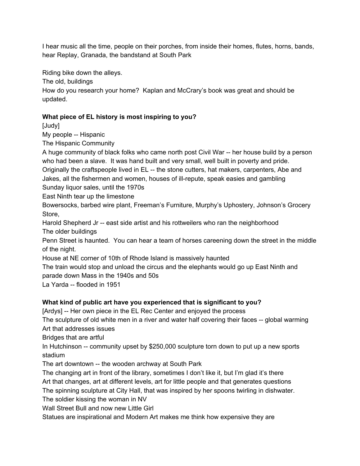I hear music all the time, people on their porches, from inside their homes, flutes, horns, bands, hear Replay, Granada, the bandstand at South Park

Riding bike down the alleys.

The old, buildings

How do you research your home? Kaplan and McCrary's book was great and should be updated.

## **What piece of EL history is most inspiring to you?**

[Judy]

My people -- Hispanic

The Hispanic Community

A huge community of black folks who came north post Civil War -- her house build by a person who had been a slave. It was hand built and very small, well built in poverty and pride.

Originally the craftspeople lived in EL -- the stone cutters, hat makers, carpenters, Abe and Jakes, all the fishermen and women, houses of ill-repute, speak easies and gambling

Sunday liquor sales, until the 1970s

East Ninth tear up the limestone

Bowersocks, barbed wire plant, Freeman's Furniture, Murphy's Uphostery, Johnson's Grocery Store,

Harold Shepherd Jr -- east side artist and his rottweilers who ran the neighborhood The older buildings

Penn Street is haunted. You can hear a team of horses careening down the street in the middle of the night.

House at NE corner of 10th of Rhode Island is massively haunted

The train would stop and unload the circus and the elephants would go up East Ninth and parade down Mass in the 1940s and 50s

La Yarda -- flooded in 1951

## **What kind of public art have you experienced that is significant to you?**

[Ardys] -- Her own piece in the EL Rec Center and enjoyed the process

The sculpture of old white men in a river and water half covering their faces -- global warming Art that addresses issues

Bridges that are artful

In Hutchinson -- community upset by \$250,000 sculpture torn down to put up a new sports stadium

The art downtown -- the wooden archway at South Park

The changing art in front of the library, sometimes I don't like it, but I'm glad it's there Art that changes, art at different levels, art for little people and that generates questions

The spinning sculpture at City Hall, that was inspired by her spoons twirling in dishwater.

The soldier kissing the woman in NV

Wall Street Bull and now new Little Girl

Statues are inspirational and Modern Art makes me think how expensive they are